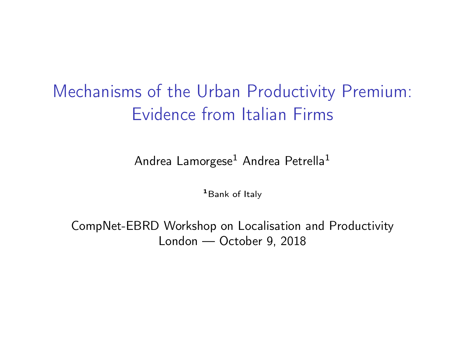# Mechanisms of the Urban Productivity Premium: Evidence from Italian Firms

Andrea Lamorgese<sup>1</sup> Andrea Petrella<sup>1</sup>

<sup>1</sup> Bank of Italy

CompNet-EBRD Workshop on Localisation and Productivity London — October 9, 2018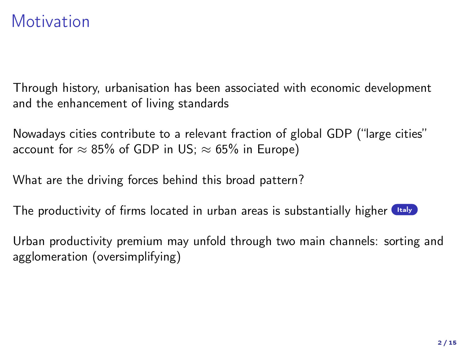#### **Motivation**

<span id="page-1-0"></span>Through history, urbanisation has been associated with economic development and the enhancement of living standards

Nowadays cities contribute to a relevant fraction of global GDP ("large cities" account for  $\approx 85\%$  of GDP in US;  $\approx 65\%$  in Europe)

What are the driving forces behind this broad pattern?

The productivity of firms located in urban areas is substantially higher  $\Box$ 

Urban productivity premium may unfold through two main channels: sorting and agglomeration (oversimplifying)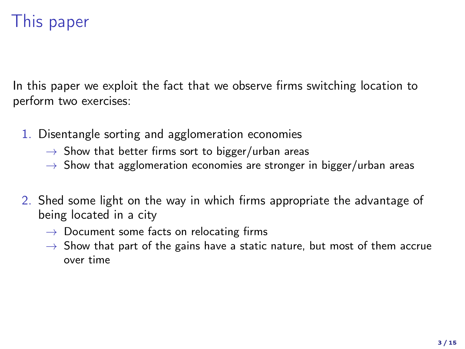## This paper

In this paper we exploit the fact that we observe firms switching location to perform two exercises:

- 1. Disentangle sorting and agglomeration economies
	- $\rightarrow$  Show that better firms sort to bigger/urban areas
	- $\rightarrow$  Show that agglomeration economies are stronger in bigger/urban areas
- 2. Shed some light on the way in which firms appropriate the advantage of being located in a city
	- $\rightarrow$  Document some facts on relocating firms
	- $\rightarrow$  Show that part of the gains have a static nature, but most of them accrue over time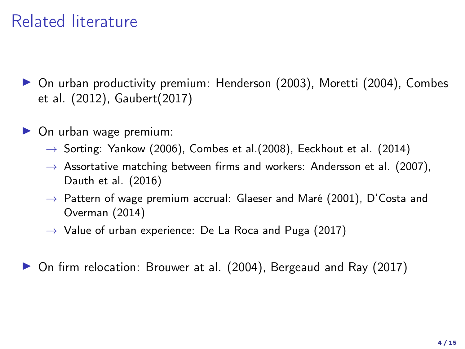## Related literature

- ▶ On urban productivity premium: Henderson (2003), Moretti (2004), Combes et al. (2012), Gaubert(2017)
- $\triangleright$  On urban wage premium:
	- $\rightarrow$  Sorting: Yankow (2006), Combes et al. (2008), Eeckhout et al. (2014)
	- $\rightarrow$  Assortative matching between firms and workers: Andersson et al. (2007), Dauth et al. (2016)
	- $\rightarrow$  Pattern of wage premium accrual: Glaeser and Maré (2001), D'Costa and Overman (2014)
	- $\rightarrow$  Value of urban experience: De La Roca and Puga (2017)

▶ On firm relocation: Brouwer at al. (2004), Bergeaud and Ray (2017)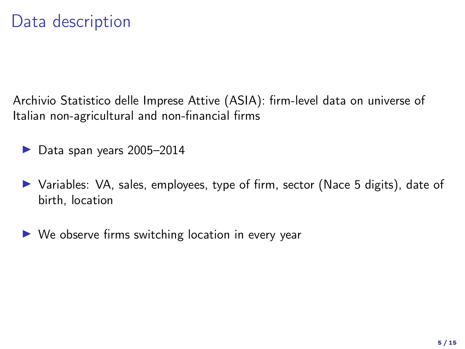#### Data description

Archivio Statistico delle Imprese Attive (ASIA): firm-level data on universe of Italian non-agricultural and non-financial firms

- $\blacktriangleright$  Data span years 2005–2014
- $\triangleright$  Variables: VA, sales, employees, type of firm, sector (Nace 5 digits), date of birth, location
- $\triangleright$  We observe firms switching location in every year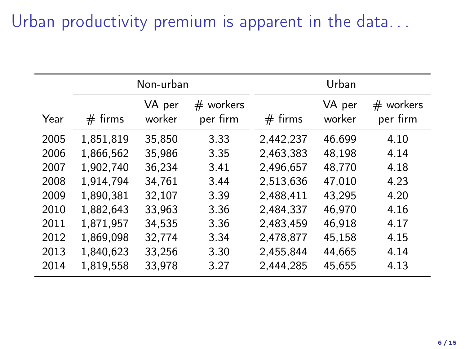## Urban productivity premium is apparent in the data...

|      | Non-urban |                  |                         | Urban     |                  |                         |
|------|-----------|------------------|-------------------------|-----------|------------------|-------------------------|
| Year | $#$ firms | VA per<br>worker | $#$ workers<br>per firm | $#$ firms | VA per<br>worker | $#$ workers<br>per firm |
| 2005 | 1.851.819 | 35.850           | 3.33                    | 2,442,237 | 46.699           | 4.10                    |
| 2006 | 1.866.562 | 35.986           | 3.35                    | 2.463.383 | 48.198           | 4.14                    |
| 2007 | 1,902,740 | 36.234           | 3.41                    | 2.496.657 | 48.770           | 4.18                    |
| 2008 | 1.914.794 | 34.761           | 3.44                    | 2.513.636 | 47.010           | 4.23                    |
| 2009 | 1.890.381 | 32,107           | 3.39                    | 2.488.411 | 43.295           | 4.20                    |
| 2010 | 1.882.643 | 33.963           | 3.36                    | 2.484.337 | 46.970           | 4.16                    |
| 2011 | 1,871,957 | 34.535           | 3.36                    | 2.483.459 | 46.918           | 4.17                    |
| 2012 | 1,869,098 | 32,774           | 3.34                    | 2.478.877 | 45.158           | 4.15                    |
| 2013 | 1,840,623 | 33,256           | 3.30                    | 2,455,844 | 44,665           | 4.14                    |
| 2014 | 1,819,558 | 33,978           | 3.27                    | 2,444,285 | 45,655           | 4.13                    |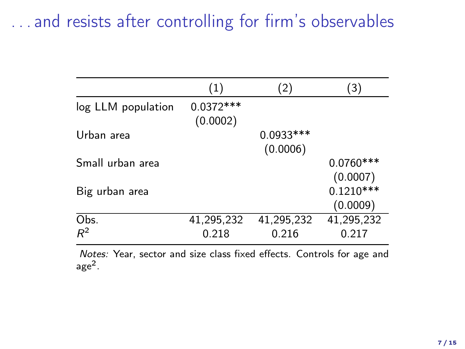## . . . and resists after controlling for firm's observables

|                    | (1)                     | (2)        | (3)         |
|--------------------|-------------------------|------------|-------------|
| log LLM population | $0.0372***$<br>(0.0002) |            |             |
| Urban area         |                         | 0.0933 *** |             |
|                    |                         | (0.0006)   |             |
| Small urban area   |                         |            | $0.0760***$ |
|                    |                         |            | (0.0007)    |
| Big urban area     |                         |            | $0.1210***$ |
|                    |                         |            | (0.0009)    |
| Obs.               | 41,295,232              | 41,295,232 | 41,295,232  |
| $R^2$              | 0.218                   | 0.216      | 0.217       |

Notes: Year, sector and size class fixed effects. Controls for age and age<sup>2</sup> .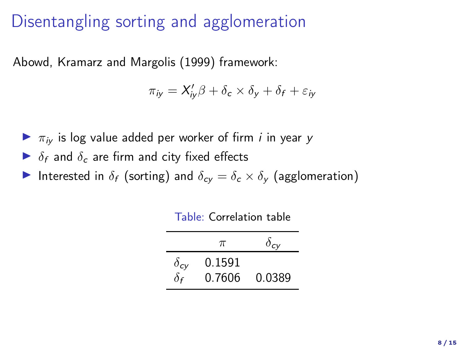## Disentangling sorting and agglomeration

Abowd, Kramarz and Margolis (1999) framework:

$$
\pi_{iy} = X'_{iy}\beta + \delta_c \times \delta_y + \delta_f + \varepsilon_{iy}
$$

- $\blacktriangleright$   $\pi_{iv}$  is log value added per worker of firm *i* in year y
- $\triangleright$   $\delta_f$  and  $\delta_c$  are firm and city fixed effects
- Interested in  $\delta_f$  (sorting) and  $\delta_{cy} = \delta_c \times \delta_y$  (agglomeration)

|               | $\pi$  | $\delta_{cv}$ |
|---------------|--------|---------------|
| $\delta_{cy}$ | 0.1591 |               |
| $\delta$ f    | 0.7606 | 0.0389        |

Table: Correlation table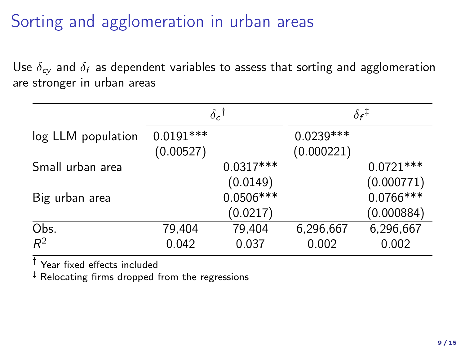## Sorting and agglomeration in urban areas

Use  $\delta_{cy}$  and  $\delta_f$  as dependent variables to assess that sorting and agglomeration are stronger in urban areas

|                    | $\delta_c$ <sup>†</sup>  |                         | $\delta$ r $^\ddag$       |                           |
|--------------------|--------------------------|-------------------------|---------------------------|---------------------------|
| log LLM population | $0.0191***$<br>(0.00527) |                         | $0.0239***$<br>(0.000221) |                           |
| Small urban area   |                          | $0.0317***$<br>(0.0149) |                           | $0.0721***$<br>(0.000771) |
| Big urban area     |                          | $0.0506***$<br>(0.0217) |                           | $0.0766***$<br>(0.000884) |
| Obs.<br>$R^2$      | 79,404<br>0.042          | 79,404<br>0.037         | 6,296,667<br>0.002        | 6,296,667<br>0.002        |

 $\dagger$  Year fixed effects included

‡ Relocating firms dropped from the regressions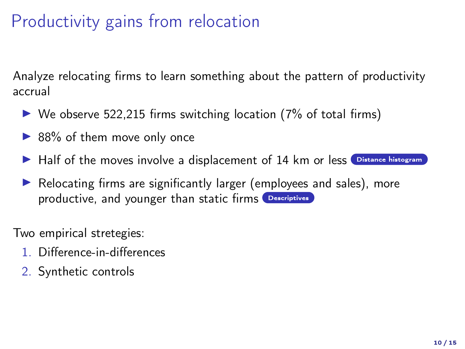# Productivity gains from relocation

<span id="page-9-0"></span>Analyze relocating firms to learn something about the pattern of productivity accrual

- $\triangleright$  We observe 522,215 firms switching location (7% of total firms)
- $\triangleright$  88% of them move only once
- I Half of the moves involve a displacement of 14 km or less Oistance histogram
- $\blacktriangleright$  Relocating firms are significantly larger (employees and sales), more productive, and younger than static firms [Descriptives](#page-18-0)

Two empirical stretegies:

- 1. Difference-in-differences
- 2. Synthetic controls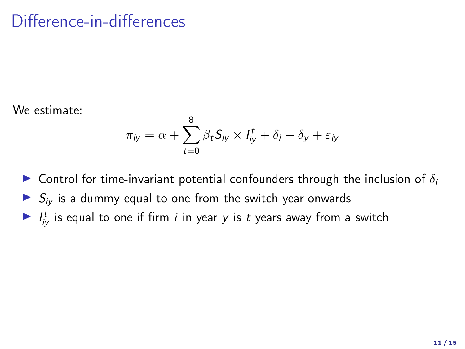#### Difference-in-differences

We estimate:

$$
\pi_{iy} = \alpha + \sum_{t=0}^{8} \beta_t S_{iy} \times I_{iy}^t + \delta_i + \delta_y + \varepsilon_{iy}
$$

**In Control for time-invariant potential confounders through the inclusion of**  $\delta_i$  $\triangleright$   $S_{iv}$  is a dummy equal to one from the switch year onwards If  $I_{ij}^t$  is equal to one if firm *i* in year *y* is *t* years away from a switch

11 / 15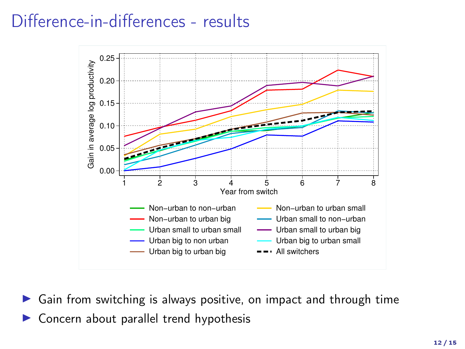#### Difference-in-differences - results



 $\triangleright$  Gain from switching is always positive, on impact and through time  $\triangleright$  Concern about parallel trend hypothesis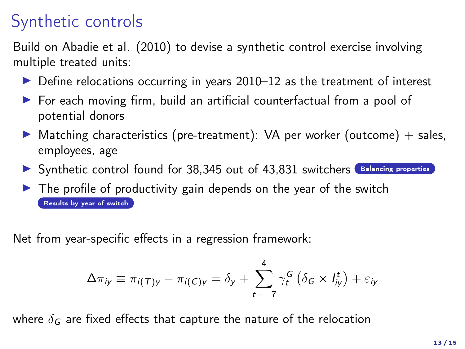## Synthetic controls

<span id="page-12-0"></span>Build on Abadie et al. (2010) to devise a synthetic control exercise involving multiple treated units:

- $\triangleright$  Define relocations occurring in years 2010–12 as the treatment of interest
- $\triangleright$  For each moving firm, build an artificial counterfactual from a pool of potential donors
- $\triangleright$  Matching characteristics (pre-treatment): VA per worker (outcome) + sales, employees, age
- $\triangleright$  Synthetic control found for 38,345 out of 43,831 switchers  $\blacksquare$  [Balancing properties](#page-19-0)
- $\blacktriangleright$  The profile of productivity gain depends on the year of the switch [Results by year of switch](#page-20-0)

Net from year-specific effects in a regression framework:

$$
\Delta \pi_{iy} \equiv \pi_{i(T)y} - \pi_{i(C)y} = \delta_y + \sum_{t=-7}^{4} \gamma_t^G \left( \delta_G \times I_{iy}^t \right) + \varepsilon_{iy}
$$

where  $\delta_G$  are fixed effects that capture the nature of the relocation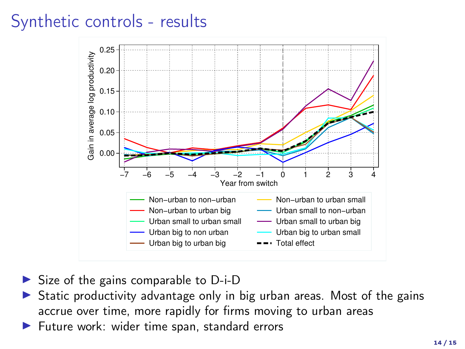## Synthetic controls - results



- $\triangleright$  Size of the gains comparable to D-i-D
- Static productivity advantage only in big urban areas. Most of the gains accrue over time, more rapidly for firms moving to urban areas
- Future work: wider time span, standard errors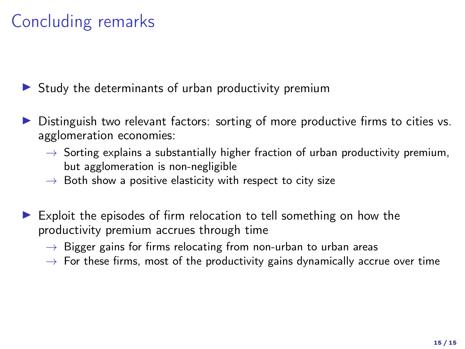# Concluding remarks

 $\triangleright$  Study the determinants of urban productivity premium

- $\triangleright$  Distinguish two relevant factors: sorting of more productive firms to cities vs. agglomeration economies:
	- $\rightarrow$  Sorting explains a substantially higher fraction of urban productivity premium, but agglomeration is non-negligible
	- $\rightarrow$  Both show a positive elasticity with respect to city size
- Exploit the episodes of firm relocation to tell something on how the productivity premium accrues through time
	- $\rightarrow$  Bigger gains for firms relocating from non-urban to urban areas
	- $\rightarrow$  For these firms, most of the productivity gains dynamically accrue over time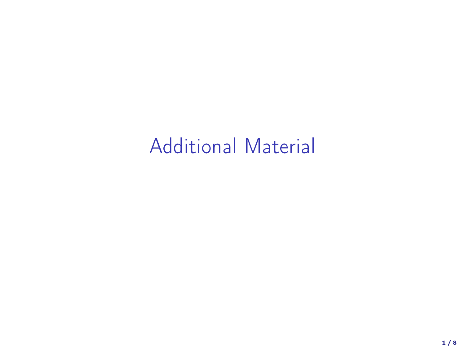# Additional Material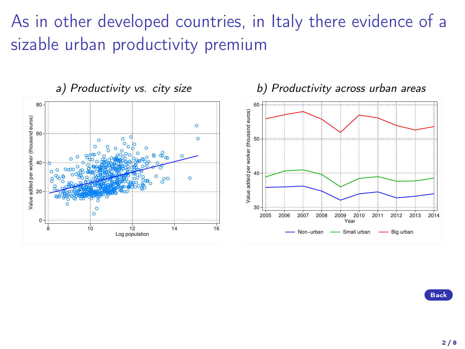# As in other developed countries, in Italy there evidence of a sizable urban productivity premium

<span id="page-16-0"></span>

 $2/8$ 

[Back](#page-1-0)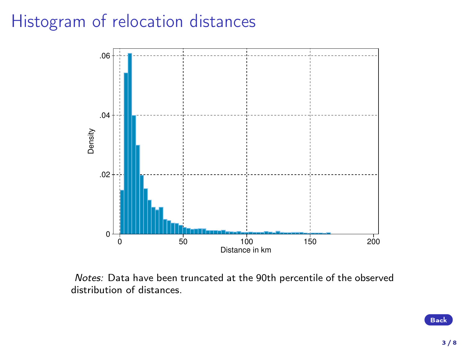#### <span id="page-17-0"></span>Histogram of relocation distances



Notes: Data have been truncated at the 90th percentile of the observed distribution of distances.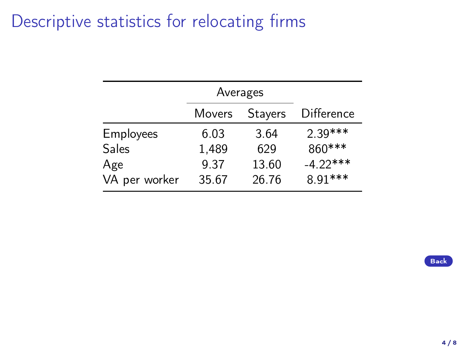#### <span id="page-18-0"></span>Descriptive statistics for relocating firms

|               | Averages |                |                   |
|---------------|----------|----------------|-------------------|
|               | Movers   | <b>Stayers</b> | <b>Difference</b> |
| Employees     | 6.03     | 3.64           | $2.39***$         |
| Sales         | 1,489    | 629            | 860***            |
| Age           | 9.37     | 13.60          | $-4.22***$        |
| VA per worker | 35.67    | 26.76          | 8.91***           |

[Back](#page-9-0)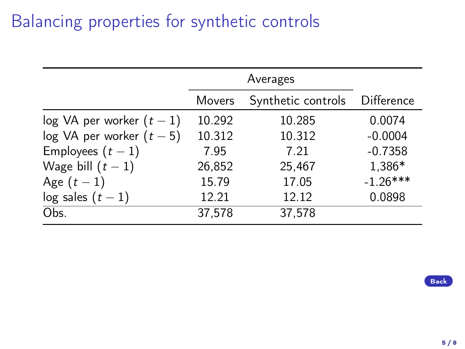## Balancing properties for synthetic controls

<span id="page-19-0"></span>

|                             | Movers | Synthetic controls | Difference |
|-----------------------------|--------|--------------------|------------|
| $log VA$ per worker $(t-1)$ | 10.292 | 10.285             | 0.0074     |
| $log VA$ per worker $(t-5)$ | 10.312 | 10.312             | $-0.0004$  |
| Employees $(t-1)$           | 7.95   | 7.21               | $-0.7358$  |
| Wage bill $(t-1)$           | 26,852 | 25,467             | 1,386*     |
| Age $(t-1)$                 | 15.79  | 17.05              | $-1.26***$ |
| log sales $(t-1)$           | 12.21  | 12.12              | 0.0898     |
| Obs.                        | 37,578 | 37,578             |            |

[Back](#page-12-0)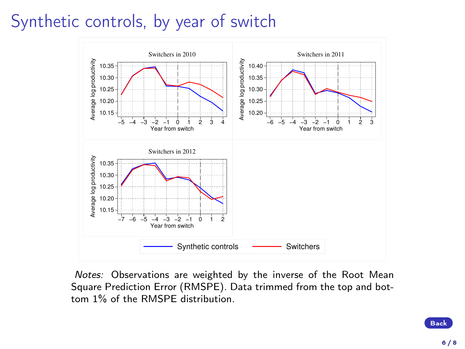# <span id="page-20-0"></span>Synthetic controls, by year of switch



Notes: Observations are weighted by the inverse of the Root Mean Square Prediction Error (RMSPE). Data trimmed from the top and bottom 1% of the RMSPE distribution.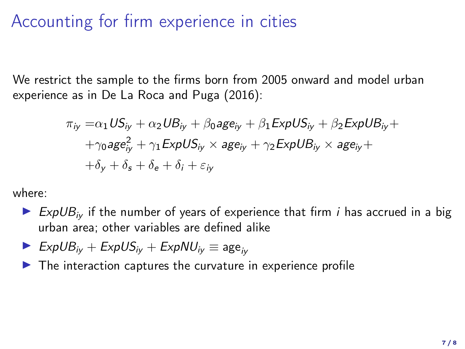#### Accounting for firm experience in cities

We restrict the sample to the firms born from 2005 onward and model urban experience as in De La Roca and Puga (2016):

$$
\pi_{iy} = \alpha_1 US_{iy} + \alpha_2 UB_{iy} + \beta_0 age_{iy} + \beta_1 ExpUS_{iy} + \beta_2 ExpUB_{iy} ++\gamma_0 age_{iy}^2 + \gamma_1 ExpUS_{iy} \times age_{iy} + \gamma_2 ExpUB_{iy} \times age_{iy} ++\delta_y + \delta_s + \delta_e + \delta_i + \varepsilon_{iy}
$$

where:

- ExpUB<sub>iv</sub> if the number of years of experience that firm *i* has accrued in a big urban area; other variables are defined alike
- $\triangleright$  ExpUB<sub>iv</sub> + ExpUS<sub>iv</sub> + ExpNU<sub>iv</sub>  $\equiv$  age<sub>iv</sub>
- $\blacktriangleright$  The interaction captures the curvature in experience profile